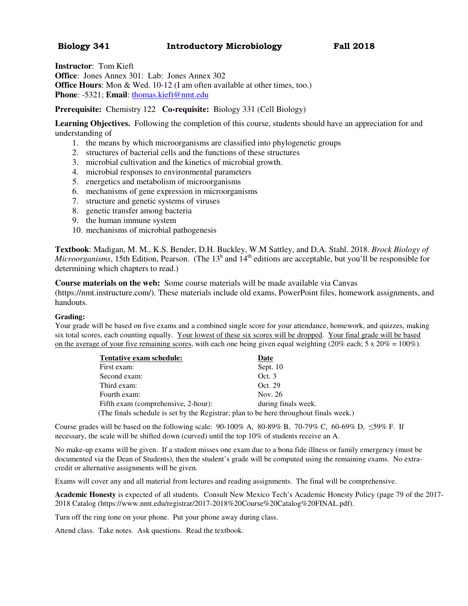## **Biology 341 Introductory Microbiology Fall 2018**

**Instructor**: Tom Kieft **Office**: Jones Annex 301: Lab: Jones Annex 302 **Office Hours:** Mon & Wed. 10-12 (I am often available at other times, too.) **Phone**: -5321; **Email**: thomas.kieft@nmt.edu

**Prerequisite:** Chemistry 122 **Co-requisite:** Biology 331 (Cell Biology)

**Learning Objectives.** Following the completion of this course, students should have an appreciation for and understanding of

- 1. the means by which microorganisms are classified into phylogenetic groups
- 2. structures of bacterial cells and the functions of these structures
- 3. microbial cultivation and the kinetics of microbial growth.
- 4. microbial responses to environmental parameters
- 5. energetics and metabolism of microorganisms
- 6. mechanisms of gene expression in microorganisms
- 7. structure and genetic systems of viruses
- 8. genetic transfer among bacteria
- 9. the human immune system
- 10. mechanisms of microbial pathogenesis

**Textbook**: Madigan, M. M., K.S. Bender, D.H. Buckley, W.M Sattley, and D.A. Stahl. 2018. *Brock Biology of Microorganisms*, 15th Edition, Pearson. (The 13<sup>h</sup> and 14<sup>th</sup> editions are acceptable, but you'll be responsible for determining which chapters to read.)

**Course materials on the web:** Some course materials will be made available via Canvas

(https://nmt.instructure.com/). These materials include old exams, PowerPoint files, homework assignments, and handouts.

## **Grading:**

Your grade will be based on five exams and a combined single score for your attendance, homework, and quizzes, making six total scores, each counting equally. Your lowest of these six scores will be dropped. Your final grade will be based on the average of your five remaining scores, with each one being given equal weighting (20% each; 5 x 20% = 100%).

| Tentative exam schedule:                                                               | Date                |  |
|----------------------------------------------------------------------------------------|---------------------|--|
| First exam:                                                                            | Sept. $10$          |  |
| Second exam:                                                                           | Oct.3               |  |
| Third exam:                                                                            | Oct. 29             |  |
| Fourth exam:                                                                           | Nov. 26             |  |
| Fifth exam (comprehensive, 2-hour):                                                    | during finals week. |  |
| (The finals schedule is set by the Registrar; plan to be here throughout finals week.) |                     |  |

Course grades will be based on the following scale:  $90-100\%$  A,  $80-89\%$  B,  $70-79\%$  C,  $60-69\%$  D,  $\leq 59\%$  F. If necessary, the scale will be shifted down (curved) until the top 10% of students receive an A.

No make-up exams will be given. If a student misses one exam due to a bona fide illness or family emergency (must be documented via the Dean of Students), then the student's grade will be computed using the remaining exams. No extracredit or alternative assignments will be given.

Exams will cover any and all material from lectures and reading assignments. The final will be comprehensive.

**Academic Honesty** is expected of all students. Consult New Mexico Tech's Academic Honesty Policy (page 79 of the 2017- 2018 Catalog (https://www.nmt.edu/registrar/2017-2018%20Course%20Catalog%20FINAL.pdf).

Turn off the ring tone on your phone. Put your phone away during class.

Attend class. Take notes. Ask questions. Read the textbook.